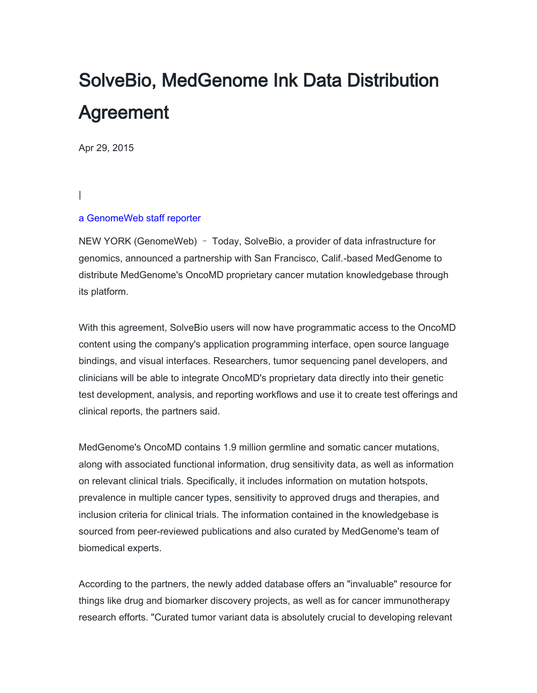## SolveBio, MedGenome Ink Data Distribution Agreement

Apr 29, 2015

## |

## [a GenomeWeb staff reporter](https://www.genomeweb.com/about-us/our-staff/genomeweb-staff-reporter)

NEW YORK (GenomeWeb) – Today, SolveBio, a provider of data infrastructure for genomics, announced a partnership with San Francisco, Calif.-based MedGenome to distribute MedGenome's OncoMD proprietary cancer mutation knowledgebase through its platform.

With this agreement, SolveBio users will now have programmatic access to the OncoMD content using the company's application programming interface, open source language bindings, and visual interfaces. Researchers, tumor sequencing panel developers, and clinicians will be able to integrate OncoMD's proprietary data directly into their genetic test development, analysis, and reporting workflows and use it to create test offerings and clinical reports, the partners said.

MedGenome's OncoMD contains 1.9 million germline and somatic cancer mutations, along with associated functional information, drug sensitivity data, as well as information on relevant clinical trials. Specifically, it includes information on mutation hotspots, prevalence in multiple cancer types, sensitivity to approved drugs and therapies, and inclusion criteria for clinical trials. The information contained in the knowledgebase is sourced from peer-reviewed publications and also curated by MedGenome's team of biomedical experts.

According to the partners, the newly added database offers an "invaluable" resource for things like drug and biomarker discovery projects, as well as for cancer immunotherapy research efforts. "Curated tumor variant data is absolutely crucial to developing relevant